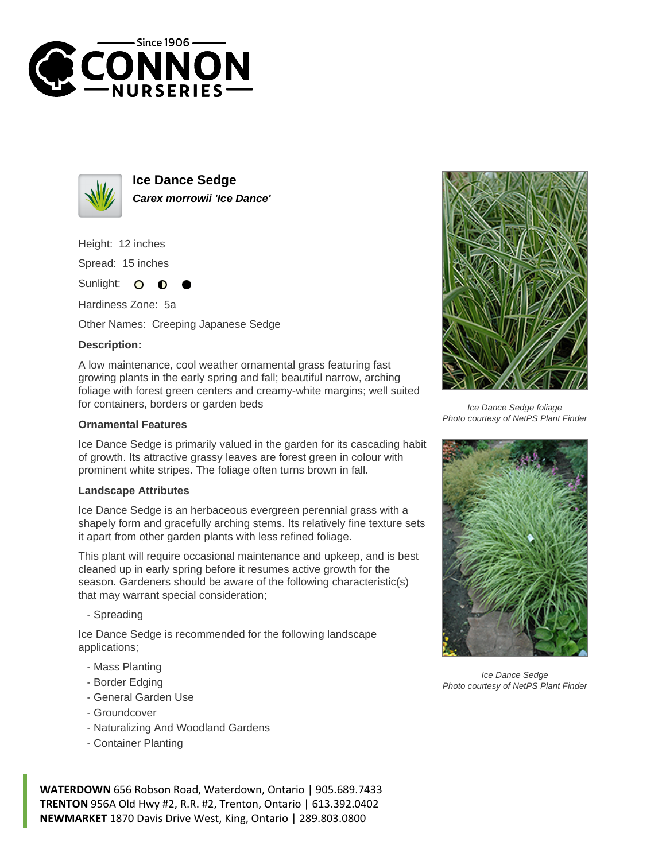



**Ice Dance Sedge Carex morrowii 'Ice Dance'**

Height: 12 inches

Spread: 15 inches

Sunlight:  $\bullet$ 

Hardiness Zone: 5a

Other Names: Creeping Japanese Sedge

## **Description:**

A low maintenance, cool weather ornamental grass featuring fast growing plants in the early spring and fall; beautiful narrow, arching foliage with forest green centers and creamy-white margins; well suited for containers, borders or garden beds

## **Ornamental Features**

Ice Dance Sedge is primarily valued in the garden for its cascading habit of growth. Its attractive grassy leaves are forest green in colour with prominent white stripes. The foliage often turns brown in fall.

## **Landscape Attributes**

Ice Dance Sedge is an herbaceous evergreen perennial grass with a shapely form and gracefully arching stems. Its relatively fine texture sets it apart from other garden plants with less refined foliage.

This plant will require occasional maintenance and upkeep, and is best cleaned up in early spring before it resumes active growth for the season. Gardeners should be aware of the following characteristic(s) that may warrant special consideration;

- Spreading

Ice Dance Sedge is recommended for the following landscape applications;

- Mass Planting
- Border Edging
- General Garden Use
- Groundcover
- Naturalizing And Woodland Gardens
- Container Planting

**WATERDOWN** 656 Robson Road, Waterdown, Ontario | 905.689.7433 **TRENTON** 956A Old Hwy #2, R.R. #2, Trenton, Ontario | 613.392.0402 **NEWMARKET** 1870 Davis Drive West, King, Ontario | 289.803.0800



Ice Dance Sedge foliage Photo courtesy of NetPS Plant Finder



Ice Dance Sedge Photo courtesy of NetPS Plant Finder